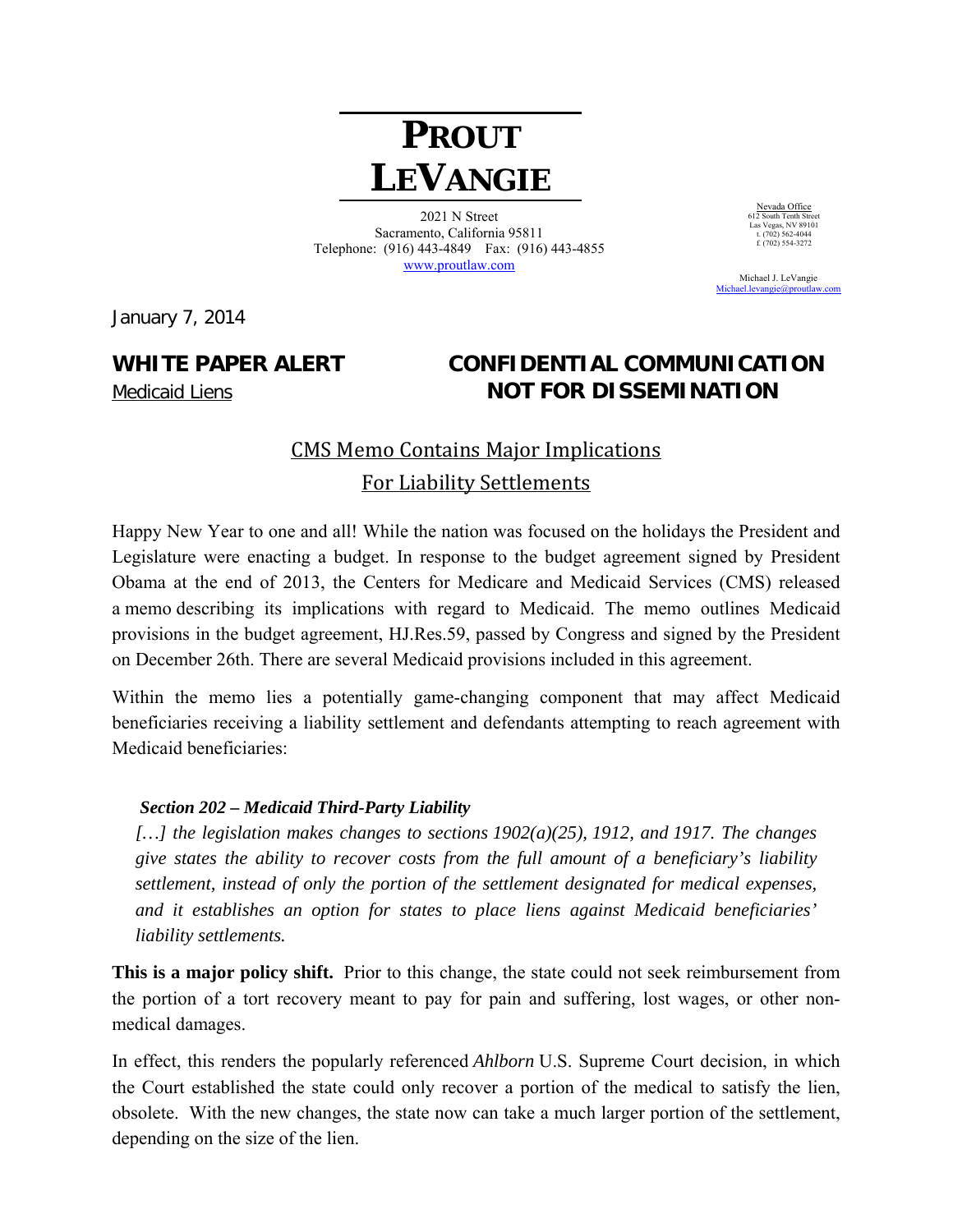# **PROUT LEVANGIE**

2021 N Street Sacramento, California 95811 Telephone: (916) 443-4849 Fax: (916) 443-4855 www.proutlaw.com

January 7, 2014

## **WHITE PAPER ALERT CONFIDENTIAL COMMUNICATION**  Medicaid Liens **NOT FOR DISSEMINATION**

# **CMS Memo Contains Major Implications** For Liability Settlements

Happy New Year to one and all! While the nation was focused on the holidays the President and Legislature were enacting a budget. In response to the budget agreement signed by President Obama at the end of 2013, the Centers for Medicare and Medicaid Services (CMS) released a memo describing its implications with regard to Medicaid. The memo outlines Medicaid provisions in the budget agreement, HJ.Res.59, passed by Congress and signed by the President on December 26th. There are several Medicaid provisions included in this agreement.

Within the memo lies a potentially game-changing component that may affect Medicaid beneficiaries receiving a liability settlement and defendants attempting to reach agreement with Medicaid beneficiaries:

### *Section 202 – Medicaid Third-Party Liability*

*[…] the legislation makes changes to sections 1902(a)(25), 1912, and 1917. The changes give states the ability to recover costs from the full amount of a beneficiary's liability settlement, instead of only the portion of the settlement designated for medical expenses, and it establishes an option for states to place liens against Medicaid beneficiaries' liability settlements.* 

**This is a major policy shift.** Prior to this change, the state could not seek reimbursement from the portion of a tort recovery meant to pay for pain and suffering, lost wages, or other nonmedical damages.

In effect, this renders the popularly referenced *Ahlborn* U.S. Supreme Court decision, in which the Court established the state could only recover a portion of the medical to satisfy the lien, obsolete. With the new changes, the state now can take a much larger portion of the settlement, depending on the size of the lien.

Nevada Office 612 South Tenth Street Las Vegas, NV 89101 t. (702) 562-4044  $f. (702)$  554-3272

 Michael J. LeVangie Michael.levangie@proutlaw